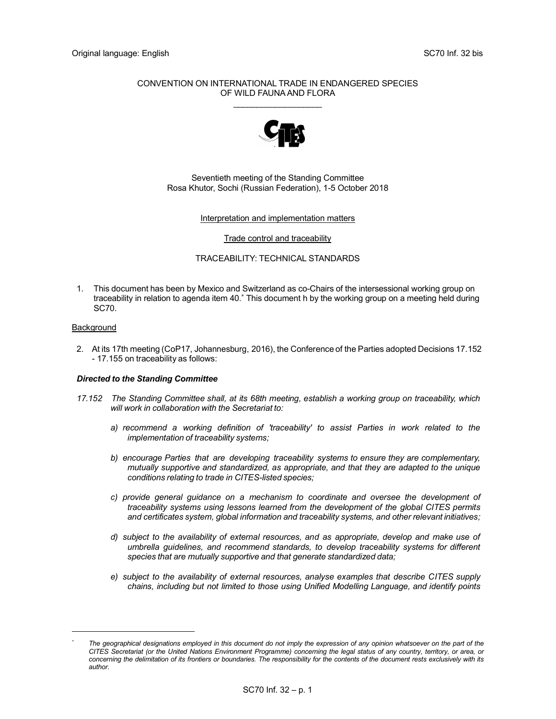## CONVENTION ON INTERNATIONAL TRADE IN ENDANGERED SPECIES OF WILD FAUNA AND FLORA  $\mathcal{L}=\mathcal{L}=\mathcal{L}=\mathcal{L}=\mathcal{L}=\mathcal{L}=\mathcal{L}=\mathcal{L}=\mathcal{L}=\mathcal{L}=\mathcal{L}=\mathcal{L}=\mathcal{L}=\mathcal{L}=\mathcal{L}=\mathcal{L}=\mathcal{L}=\mathcal{L}=\mathcal{L}=\mathcal{L}=\mathcal{L}=\mathcal{L}=\mathcal{L}=\mathcal{L}=\mathcal{L}=\mathcal{L}=\mathcal{L}=\mathcal{L}=\mathcal{L}=\mathcal{L}=\mathcal{L}=\mathcal{L}=\mathcal{L}=\mathcal{L}=\mathcal{L}=\mathcal{L}=\mathcal{$



## Seventieth meeting of the Standing Committee Rosa Khutor, Sochi (Russian Federation), 1-5 October 2018

### Interpretation and implementation matters

#### Trade control and traceability

## TRACEABILITY: TECHNICAL STANDARDS

1. This document has been by Mexico and Switzerland as co-Chairs of the intersessional working group on traceability in relation to agenda item 40.\* This document h by the working group on a meeting held during SC70.

## **Background**

2. At its 17th meeting (CoP17, Johannesburg, 2016), the Conference of the Parties adopted Decisions 17.152 - 17.155 on traceability as follows:

# Directed to the Standing Committee

- 17.152 The Standing Committee shall, at its 68th meeting, establish a working group on traceability, which will work in collaboration with the Secretariat to:
	- a) recommend a working definition of 'traceability' to assist Parties in work related to the implementation of traceability systems;
	- b) encourage Parties that are developing traceability systems to ensure they are complementary, mutually supportive and standardized, as appropriate, and that they are adapted to the unique conditions relating to trade in CITES-listed species;
	- c) provide general guidance on a mechanism to coordinate and oversee the development of traceability systems using lessons learned from the development of the global CITES permits and certificates system, global information and traceability systems, and other relevant initiatives;
	- d) subject to the availability of external resources, and as appropriate, develop and make use of umbrella guidelines, and recommend standards, to develop traceability systems for different species that are mutually supportive and that generate standardized data;
	- e) subject to the availability of external resources, analyse examples that describe CITES supply chains, including but not limited to those using Unified Modelling Language, and identify points

<sup>\*</sup> The geographical designations employed in this document do not imply the expression of any opinion whatsoever on the part of the CITES Secretariat (or the United Nations Environment Programme) concerning the legal status of any country, territory, or area, or concerning the delimitation of its frontiers or boundaries. The responsibility for the contents of the document rests exclusively with its author.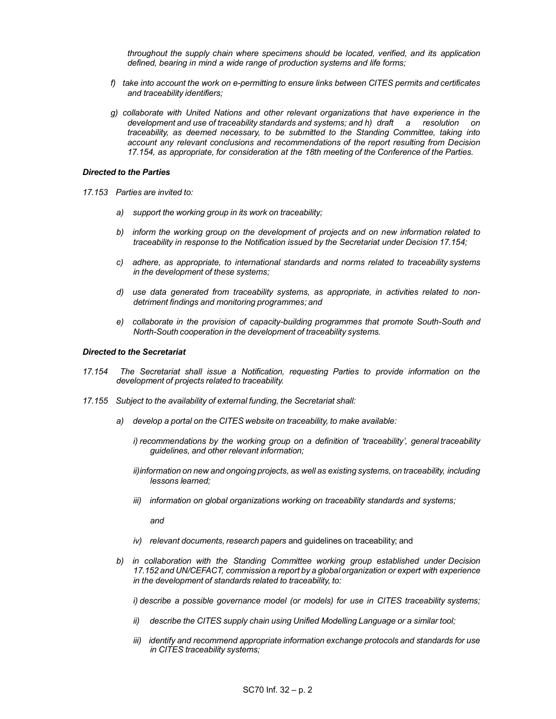throughout the supply chain where specimens should be located, verified, and its application defined, bearing in mind a wide range of production systems and life forms;

- f) take into account the work on e-permitting to ensure links between CITES permits and certificates and traceability identifiers;
- g) collaborate with United Nations and other relevant organizations that have experience in the development and use of traceability standards and systems; and h) draft a resolution on traceability, as deemed necessary, to be submitted to the Standing Committee, taking into account any relevant conclusions and recommendations of the report resulting from Decision 17.154, as appropriate, for consideration at the 18th meeting of the Conference of the Parties.

#### Directed to the Parties

- 17.153 Parties are invited to:
	- a) support the working group in its work on traceability;
	- b) inform the working group on the development of projects and on new information related to traceability in response to the Notification issued by the Secretariat under Decision 17.154;
	- c) adhere, as appropriate, to international standards and norms related to traceability systems in the development of these systems;
	- d) use data generated from traceability systems, as appropriate, in activities related to nondetriment findings and monitoring programmes; and
	- e) collaborate in the provision of capacity-building programmes that promote South-South and North-South cooperation in the development of traceability systems.

## Directed to the Secretariat

- 17.154 The Secretariat shall issue a Notification, requesting Parties to provide information on the development of projects related to traceability.
- 17.155 Subject to the availability of external funding, the Secretariat shall:
	- a) develop a portal on the CITES website on traceability, to make available:
		- i) recommendations by the working group on a definition of 'traceability', general traceability guidelines, and other relevant information;
		- ii) information on new and ongoing projects, as well as existing systems, on traceability, including lessons learned;
		- iii) information on global organizations working on traceability standards and systems;

and

- iv) relevant documents, research papers and guidelines on traceability; and
- b) in collaboration with the Standing Committee working group established under Decision 17.152 and UN/CEFACT, commission a report by a global organization or expert with experience in the development of standards related to traceability, to:

i) describe a possible governance model (or models) for use in CITES traceability systems;

- ii) describe the CITES supply chain using Unified Modelling Language or a similar tool;
- iii) identify and recommend appropriate information exchange protocols and standards for use in CITES traceability systems;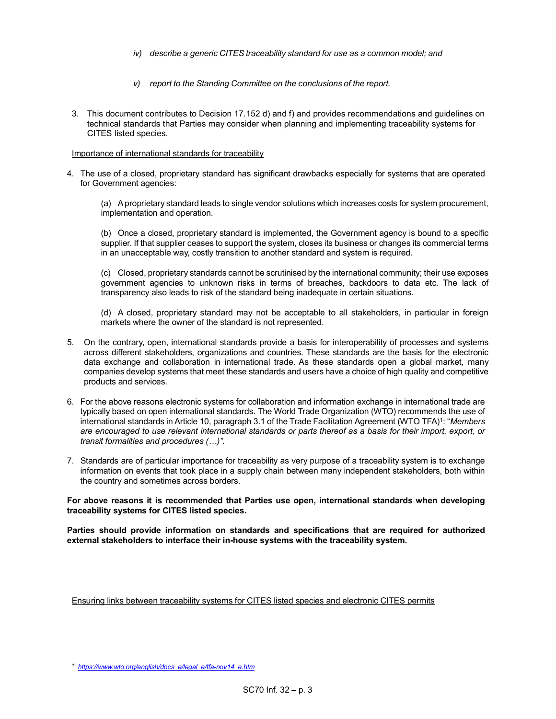- iv) describe a generic CITES traceability standard for use as a common model; and
- v) report to the Standing Committee on the conclusions of the report.
- 3. This document contributes to Decision 17.152 d) and f) and provides recommendations and guidelines on technical standards that Parties may consider when planning and implementing traceability systems for CITES listed species.

## Importance of international standards for traceability

4. The use of a closed, proprietary standard has significant drawbacks especially for systems that are operated for Government agencies:

 (a) A proprietary standard leads to single vendor solutions which increases costs for system procurement, implementation and operation.

 (b) Once a closed, proprietary standard is implemented, the Government agency is bound to a specific supplier. If that supplier ceases to support the system, closes its business or changes its commercial terms in an unacceptable way, costly transition to another standard and system is required.

 (c) Closed, proprietary standards cannot be scrutinised by the international community; their use exposes government agencies to unknown risks in terms of breaches, backdoors to data etc. The lack of transparency also leads to risk of the standard being inadequate in certain situations.

 (d) A closed, proprietary standard may not be acceptable to all stakeholders, in particular in foreign markets where the owner of the standard is not represented.

- 5. On the contrary, open, international standards provide a basis for interoperability of processes and systems across different stakeholders, organizations and countries. These standards are the basis for the electronic data exchange and collaboration in international trade. As these standards open a global market, many companies develop systems that meet these standards and users have a choice of high quality and competitive products and services.
- 6. For the above reasons electronic systems for collaboration and information exchange in international trade are typically based on open international standards. The World Trade Organization (WTO) recommends the use of international standards in Article 10, paragraph 3.1 of the Trade Facilitation Agreement (WTO TFA)<sup>1</sup>: "*Members* are encouraged to use relevant international standards or parts thereof as a basis for their import, export, or transit formalities and procedures (…)".
- 7. Standards are of particular importance for traceability as very purpose of a traceability system is to exchange information on events that took place in a supply chain between many independent stakeholders, both within the country and sometimes across borders.

For above reasons it is recommended that Parties use open, international standards when developing traceability systems for CITES listed species.

Parties should provide information on standards and specifications that are required for authorized external stakeholders to interface their in-house systems with the traceability system.

Ensuring links between traceability systems for CITES listed species and electronic CITES permits

<sup>&</sup>lt;sup>1</sup> https://www.wto.org/english/docs\_e/legal\_e/tfa-nov14\_e.htm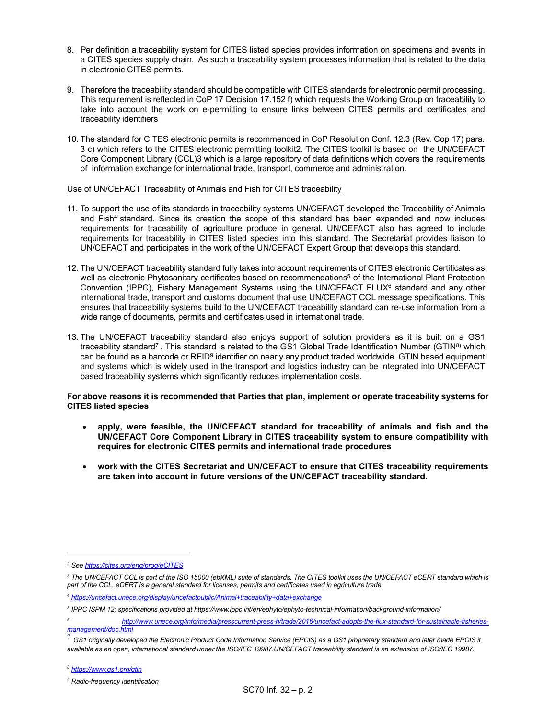- 8. Per definition a traceability system for CITES listed species provides information on specimens and events in a CITES species supply chain. As such a traceability system processes information that is related to the data in electronic CITES permits.
- 9. Therefore the traceability standard should be compatible with CITES standards for electronic permit processing. This requirement is reflected in CoP 17 Decision 17.152 f) which requests the Working Group on traceability to take into account the work on e-permitting to ensure links between CITES permits and certificates and traceability identifiers
- 10. The standard for CITES electronic permits is recommended in CoP Resolution Conf. 12.3 (Rev. Cop 17) para. 3 c) which refers to the CITES electronic permitting toolkit2. The CITES toolkit is based on the UN/CEFACT Core Component Library (CCL)3 which is a large repository of data definitions which covers the requirements of information exchange for international trade, transport, commerce and administration.

## Use of UN/CEFACT Traceability of Animals and Fish for CITES traceability

- 11. To support the use of its standards in traceability systems UN/CEFACT developed the Traceability of Animals and Fish<sup>4</sup> standard. Since its creation the scope of this standard has been expanded and now includes requirements for traceability of agriculture produce in general. UN/CEFACT also has agreed to include requirements for traceability in CITES listed species into this standard. The Secretariat provides liaison to UN/CEFACT and participates in the work of the UN/CEFACT Expert Group that develops this standard.
- 12. The UN/CEFACT traceability standard fully takes into account requirements of CITES electronic Certificates as well as electronic Phytosanitary certificates based on recommendations $^5$  of the International Plant Protection Convention (IPPC), Fishery Management Systems using the UN/CEFACT FLUX<sup>6</sup> standard and any other international trade, transport and customs document that use UN/CEFACT CCL message specifications. This ensures that traceability systems build to the UN/CEFACT traceability standard can re-use information from a wide range of documents, permits and certificates used in international trade.
- 13. The UN/CEFACT traceability standard also enjoys support of solution providers as it is built on a GS1 traceability standard<sup>7</sup>. This standard is related to the GS1 Global Trade Identification Number (GTIN<sup>8)</sup> which can be found as a barcode or RFID<sup>9</sup> identifier on nearly any product traded worldwide. GTIN based equipment and systems which is widely used in the transport and logistics industry can be integrated into UN/CEFACT based traceability systems which significantly reduces implementation costs.

# For above reasons it is recommended that Parties that plan, implement or operate traceability systems for CITES listed species

- apply, were feasible, the UN/CEFACT standard for traceability of animals and fish and the UN/CEFACT Core Component Library in CITES traceability system to ensure compatibility with requires for electronic CITES permits and international trade procedures
- work with the CITES Secretariat and UN/CEFACT to ensure that CITES traceability requirements are taken into account in future versions of the UN/CEFACT traceability standard.

<sup>&</sup>lt;sup>2</sup> See https://cites.org/eng/prog/eCITES

<sup>&</sup>lt;sup>3</sup> The UN/CEFACT CCL is part of the ISO 15000 (ebXML) suite of standards. The CITES toolkit uses the UN/CEFACT eCERT standard which is part of the CCL. eCERT is a general standard for licenses, permits and certificates used in agriculture trade.

<sup>4</sup> https://uncefact.unece.org/display/uncefactpublic/Animal+traceability+data+exchange

<sup>5</sup> IPPC ISPM 12; specifications provided at https://www.ippc.int/en/ephyto/ephyto-technical-information/background-information/

<sup>6</sup> http://www.unece.org/info/media/presscurrent-press-h/trade/2016/uncefact-adopts-the-flux-standard-for-sustainable-fisheriesmanagement/doc.html

<sup>7</sup> GS1 originally developed the Electronic Product Code Information Service (EPCIS) as a GS1 proprietary standard and later made EPCIS it available as an open, international standard under the ISO/IEC 19987.UN/CEFACT traceability standard is an extension of ISO/IEC 19987.

<sup>&</sup>lt;sup>9</sup> Radio-frequency identification